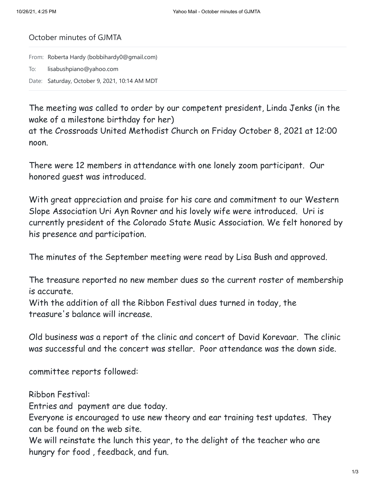## October minutes of GJMTA

From: Roberta Hardy (bobbihardy0@gmail.com) To: lisabushpiano@yahoo.com Date: Saturday, October 9, 2021, 10:14 AM MDT

The meeting was called to order by our competent president, Linda Jenks (in the wake of a milestone birthday for her)

at the Crossroads United Methodist Church on Friday October 8, 2021 at 12:00 noon.

There were 12 members in attendance with one lonely zoom participant. Our honored guest was introduced.

With great appreciation and praise for his care and commitment to our Western Slope Association Uri Ayn Rovner and his lovely wife were introduced. Uri is currently president of the Colorado State Music Association. We felt honored by his presence and participation.

The minutes of the September meeting were read by Lisa Bush and approved.

The treasure reported no new member dues so the current roster of membership is accurate.

With the addition of all the Ribbon Festival dues turned in today, the treasure's balance will increase.

Old business was a report of the clinic and concert of David Korevaar. The clinic was successful and the concert was stellar. Poor attendance was the down side.

committee reports followed:

Ribbon Festival:

Entries and payment are due today.

Everyone is encouraged to use new theory and ear training test updates. They can be found on the web site.

We will reinstate the lunch this year, to the delight of the teacher who are hungry for food , feedback, and fun.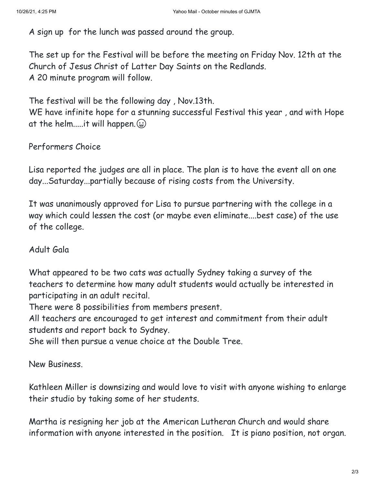A sign up for the lunch was passed around the group.

The set up for the Festival will be before the meeting on Friday Nov. 12th at the Church of Jesus Christ of Latter Day Saints on the Redlands. A 20 minute program will follow.

The festival will be the following day , Nov.13th.

WE have infinite hope for a stunning successful Festival this year , and with Hope at the helm.....it will happen.  $\bigoplus$ 

Performers Choice

Lisa reported the judges are all in place. The plan is to have the event all on one day...Saturday...partially because of rising costs from the University.

It was unanimously approved for Lisa to pursue partnering with the college in a way which could lessen the cost (or maybe even eliminate....best case) of the use of the college.

Adult Gala

What appeared to be two cats was actually Sydney taking a survey of the teachers to determine how many adult students would actually be interested in participating in an adult recital.

There were 8 possibilities from members present.

All teachers are encouraged to get interest and commitment from their adult students and report back to Sydney.

She will then pursue a venue choice at the Double Tree.

New Business.

Kathleen Miller is downsizing and would love to visit with anyone wishing to enlarge their studio by taking some of her students.

Martha is resigning her job at the American Lutheran Church and would share information with anyone interested in the position. It is piano position, not organ.